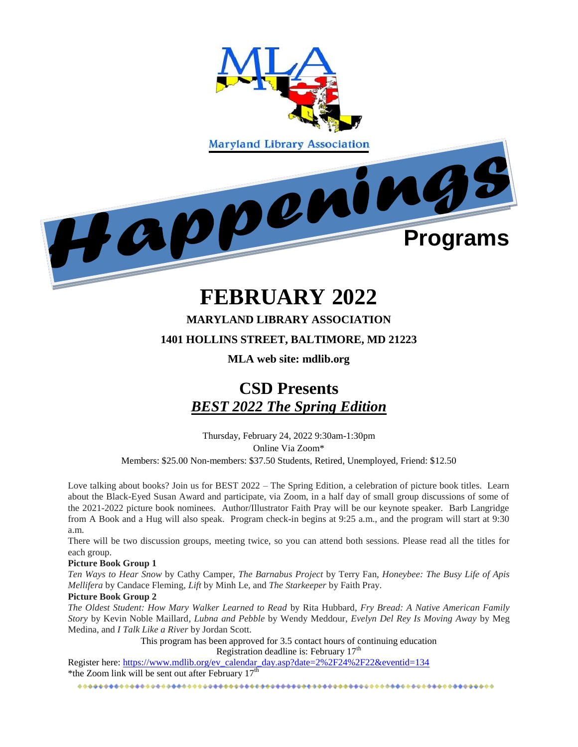

# **FEBRUARY 2022**

#### **MARYLAND LIBRARY ASSOCIATION**

#### **1401 HOLLINS STREET, BALTIMORE, MD 21223**

#### **MLA web site: mdlib.org**

## **CSD Presents**  *BEST 2022 The Spring Edition*

Thursday, February 24, 2022 9:30am-1:30pm Online Via Zoom\* Members: \$25.00 Non-members: \$37.50 Students, Retired, Unemployed, Friend: \$12.50

Love talking about books? Join us for BEST 2022 – The Spring Edition, a celebration of picture book titles. Learn about the Black-Eyed Susan Award and participate, via Zoom, in a half day of small group discussions of some of the 2021-2022 picture book nominees. Author/Illustrator Faith Pray will be our keynote speaker. Barb Langridge from A Book and a Hug will also speak. Program check-in begins at 9:25 a.m., and the program will start at 9:30 a.m.

There will be two discussion groups, meeting twice, so you can attend both sessions. Please read all the titles for each group.

#### **Picture Book Group 1**

*Ten Ways to Hear Snow* by Cathy Camper, *The Barnabus Project* by Terry Fan, *Honeybee: The Busy Life of Apis Mellifera* by Candace Fleming, *Lift* by Minh Le, and *The Starkeeper* by Faith Pray.

#### **Picture Book Group 2**

*The Oldest Student: How Mary Walker Learned to Read* by Rita Hubbard, *Fry Bread: A Native American Family Story* by Kevin Noble Maillard*, Lubna and Pebble* by Wendy Meddour, *Evelyn Del Rey Is Moving Away* by Meg Medina, and *I Talk Like a River* by Jordan Scott.

> This program has been approved for 3.5 contact hours of continuing education Registration deadline is: February 17<sup>th</sup>

Register here: [https://www.mdlib.org/ev\\_calendar\\_day.asp?date=2%2F24%2F22&eventid=134](https://www.mdlib.org/ev_calendar_day.asp?date=2%2F24%2F22&eventid=134) \*the Zoom link will be sent out after February  $17<sup>th</sup>$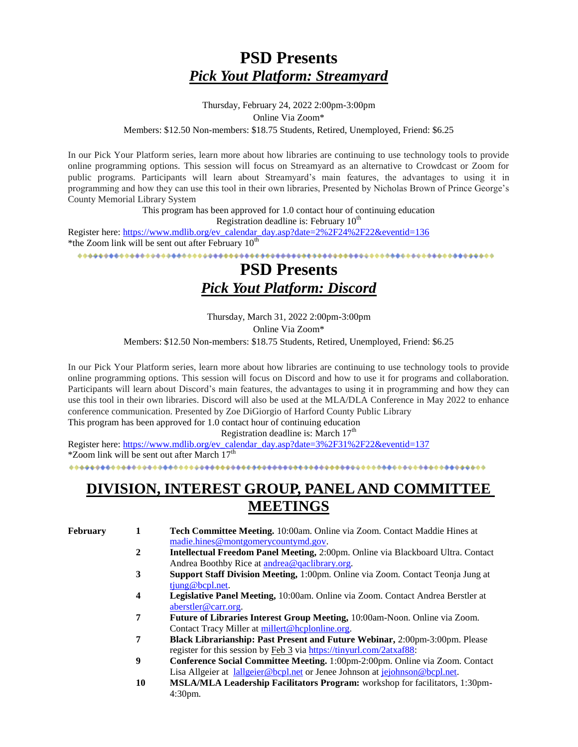## **PSD Presents**  *Pick Yout Platform: Streamyard*

#### Thursday, February 24, 2022 2:00pm-3:00pm Online Via Zoom\* Members: \$12.50 Non-members: \$18.75 Students, Retired, Unemployed, Friend: \$6.25

In our Pick Your Platform series, learn more about how libraries are continuing to use technology tools to provide online programming options. This session will focus on Streamyard as an alternative to Crowdcast or Zoom for public programs. Participants will learn about Streamyard's main features, the advantages to using it in programming and how they can use this tool in their own libraries, Presented by Nicholas Brown of Prince George's County Memorial Library System

> This program has been approved for 1.0 contact hour of continuing education Registration deadline is: February  $10<sup>th</sup>$

Register here: [https://www.mdlib.org/ev\\_calendar\\_day.asp?date=2%2F24%2F22&eventid=136](https://www.mdlib.org/ev_calendar_day.asp?date=2%2F24%2F22&eventid=136) \*the Zoom link will be sent out after February  $10^{th}$ 

### **PSD Presents**  *Pick Yout Platform: Discord*

Thursday, March 31, 2022 2:00pm-3:00pm Online Via Zoom\* Members: \$12.50 Non-members: \$18.75 Students, Retired, Unemployed, Friend: \$6.25

In our Pick Your Platform series, learn more about how libraries are continuing to use technology tools to provide online programming options. This session will focus on Discord and how to use it for programs and collaboration. Participants will learn about Discord's main features, the advantages to using it in programming and how they can use this tool in their own libraries. Discord will also be used at the MLA/DLA Conference in May 2022 to enhance conference communication. Presented by Zoe DiGiorgio of Harford County Public Library

This program has been approved for 1.0 contact hour of continuing education Registration deadline is: March  $17<sup>th</sup>$ 

Register here: [https://www.mdlib.org/ev\\_calendar\\_day.asp?date=3%2F31%2F22&eventid=137](https://www.mdlib.org/ev_calendar_day.asp?date=3%2F31%2F22&eventid=137)  $*$ Zoom link will be sent out after March  $17<sup>th</sup>$ 

### **DIVISION, INTEREST GROUP, PANEL AND COMMITTEE MEETINGS**

**February 1 Tech Committee Meeting.** 10:00am. Online via Zoom. Contact Maddie Hines at [madie.hines@montgomerycountymd.gov.](mailto:madie.hines@montgomerycountymd.gov)

- **2 Intellectual Freedom Panel Meeting,** 2:00pm. Online via Blackboard Ultra. Contact Andrea Boothby Rice at [andrea@qaclibrary.org.](mailto:andrea@qaclibrary.org)
- **3 Support Staff Division Meeting,** 1:00pm. Online via Zoom. Contact Teonja Jung at [tjung@bcpl.net.](mailto:tjung@bcpl.net)
- **4 Legislative Panel Meeting,** 10:00am. Online via Zoom. Contact Andrea Berstler at [aberstler@carr.org.](mailto:aberstler@carr.org)
- **7 Future of Libraries Interest Group Meeting,** 10:00am-Noon. Online via Zoom. Contact Tracy Miller a[t millert@hcplonline.org.](mailto:millert@hcplonline.org)
- **7 Black Librarianship: Past Present and Future Webinar,** 2:00pm-3:00pm. Please register for this session by Feb 3 via [https://tinyurl.com/2atxaf88:](https://nam11.safelinks.protection.outlook.com/?url=https%3A%2F%2Ftinyurl.com%2F2atxaf88&data=04%7C01%7Ckmonagan%40mdlib.org%7C40599a263a314770ab8508d9dc32fd89%7Cabfaca4f2f8440c29a45bd09ad83fe89%7C0%7C1%7C637782933858648267%7CUnknown%7CTWFpbGZsb3d8eyJWIjoiMC4wLjAwMDAiLCJQIjoiV2luMzIiLCJBTiI6Ik1haWwiLCJXVCI6Mn0%3D%7C3000&sdata=u1mIIZslI0DdcQj7AcEksQ%2B1dbVgz3ZDoCuHVV%2Bl8Kk%3D&reserved=0)
- **9 Conference Social Committee Meeting.** 1:00pm-2:00pm. Online via Zoom. Contact Lisa Allgeier at [lallgeier@bcpl.net](mailto:lallgeier@bcpl.net) or Jenee Johnson at [jejohnson@bcpl.net.](mailto:jejohnson@bcpl.net)
- **10 MSLA/MLA Leadership Facilitators Program:** workshop for facilitators, 1:30pm-4:30pm.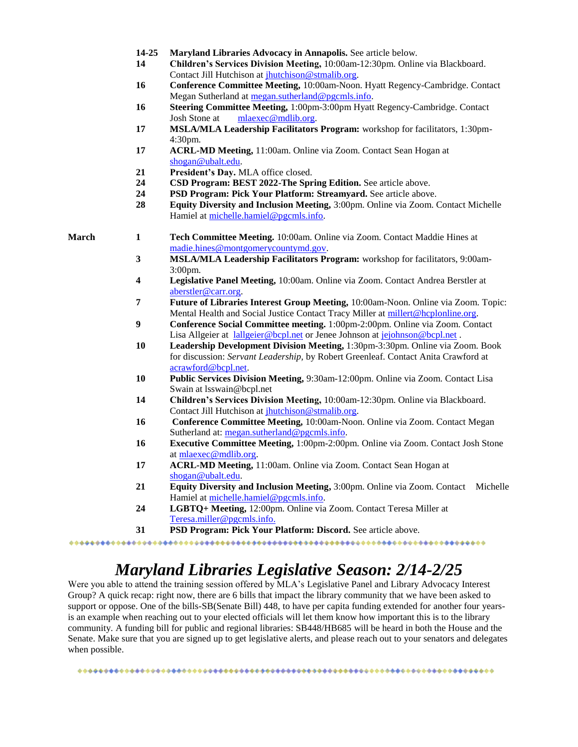| 14-25 |  |  |  | Maryland Libraries Advocacy in Annapolis. See article below. |
|-------|--|--|--|--------------------------------------------------------------|
|-------|--|--|--|--------------------------------------------------------------|

- **14 Children's Services Division Meeting,** 10:00am-12:30pm. Online via Blackboard. Contact Jill Hutchison at [jhutchison@stmalib.org.](mailto:jhutchison@stmalib.org)
- **16 Conference Committee Meeting,** 10:00am-Noon. Hyatt Regency-Cambridge. Contact Megan Sutherland at [megan.sutherland@pgcmls.info.](mailto:megan.sutherland@pgcmls.info)
- **16 Steering Committee Meeting,** 1:00pm-3:00pm Hyatt Regency-Cambridge. Contact Josh Stone at [mlaexec@mdlib.org.](mailto:mlaexec@mdlib.org)
- **17 MSLA/MLA Leadership Facilitators Program:** workshop for facilitators, 1:30pm-4:30pm.
- **17 ACRL-MD Meeting,** 11:00am. Online via Zoom. Contact Sean Hogan at [shogan@ubalt.edu.](mailto:shogan@ubalt.edu)
- **21 President's Day.** MLA office closed.
- **24 CSD Program: BEST 2022-The Spring Edition.** See article above.
- **24 PSD Program: Pick Your Platform: Streamyard.** See article above.
- **28 Equity Diversity and Inclusion Meeting,** 3:00pm. Online via Zoom. Contact Michelle Hamiel at [michelle.hamiel@pgcmls.info.](mailto:michelle.hamiel@pgcmls.info)

- **March 1 Tech Committee Meeting.** 10:00am. Online via Zoom. Contact Maddie Hines at [madie.hines@montgomerycountymd.gov.](mailto:madie.hines@montgomerycountymd.gov)
	- **3 MSLA/MLA Leadership Facilitators Program:** workshop for facilitators, 9:00am-3:00pm.
	- **4 Legislative Panel Meeting,** 10:00am. Online via Zoom. Contact Andrea Berstler at [aberstler@carr.org.](mailto:aberstler@carr.org)
	- **7 Future of Libraries Interest Group Meeting,** 10:00am-Noon. Online via Zoom. Topic: Mental Health and Social Justice Contact Tracy Miller at [millert@hcplonline.org.](mailto:millert@hcplonline.org)
	- **9 Conference Social Committee meeting.** 1:00pm-2:00pm. Online via Zoom. Contact Lisa Allgeier at [lallgeier@bcpl.net](mailto:lallgeier@bcpl.net) or Jenee Johnson at [jejohnson@bcpl.net](mailto:jejohnson@bcpl.net).
	- **10 Leadership Development Division Meeting,** 1:30pm-3:30pm. Online via Zoom. Book for discussion: *Servant Leadership,* by Robert Greenleaf. Contact Anita Crawford at [acrawford@bcpl.net.](mailto:acrawford@bcpl.net)
	- **10 Public Services Division Meeting,** 9:30am-12:00pm. Online via Zoom. Contact Lisa Swain at lsswain@bcpl.net
	- **14 Children's Services Division Meeting,** 10:00am-12:30pm. Online via Blackboard. Contact Jill Hutchison at [jhutchison@stmalib.org.](mailto:jhutchison@stmalib.org)
	- **16 Conference Committee Meeting,** 10:00am-Noon. Online via Zoom. Contact Megan Sutherland at: [megan.sutherland@pgcmls.info.](mailto:megan.sutherland@pgcmls.info)
	- **16 Executive Committee Meeting,** 1:00pm-2:00pm. Online via Zoom. Contact Josh Stone a[t mlaexec@mdlib.org.](mailto:mlaexec@mdlib.org)
	- **17 ACRL-MD Meeting,** 11:00am. Online via Zoom. Contact Sean Hogan at [shogan@ubalt.edu.](mailto:shogan@ubalt.edu)
	- **21 Equity Diversity and Inclusion Meeting,** 3:00pm. Online via Zoom. Contact Michelle Hamiel at [michelle.hamiel@pgcmls.info.](mailto:michelle.hamiel@pgcmls.info)
	- **24 LGBTQ+ Meeting,** 12:00pm. Online via Zoom. Contact Teresa Miller at [Teresa.miller@pgcmls.info.](mailto:Teresa.miller@pgcmls.info)
	- **31 PSD Program: Pick Your Platform: Discord.** See article above.

## *Maryland Libraries Legislative Season: 2/14-2/25*

Were you able to attend the training session offered by MLA's Legislative Panel and Library Advocacy Interest Group? A quick recap: right now, there are 6 bills that impact the library community that we have been asked to support or oppose. One of the bills-SB(Senate Bill) 448, to have per capita funding extended for another four yearsis an example when reaching out to your elected officials will let them know how important this is to the library community. A funding bill for public and regional libraries: SB448/HB685 will be heard in both the House and the Senate. Make sure that you are signed up to get legislative alerts, and please reach out to your senators and delegates when possible.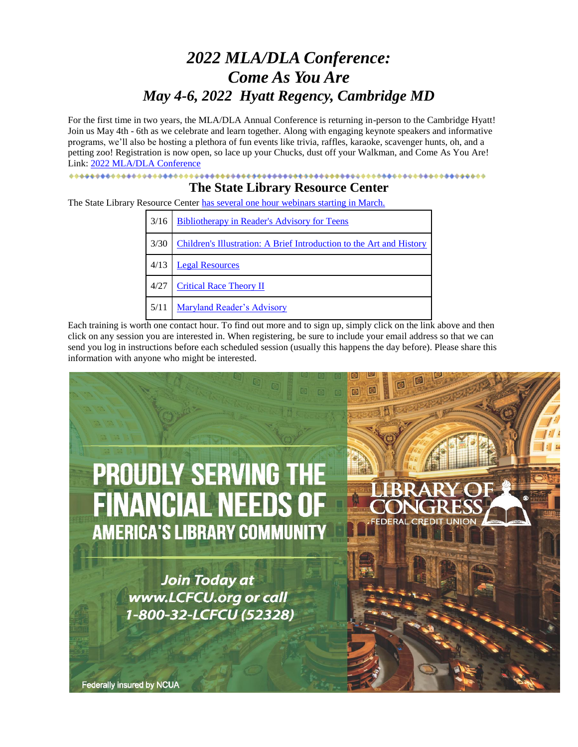## *2022 MLA/DLA Conference: Come As You Are May 4-6, 2022 Hyatt Regency, Cambridge MD*

For the first time in two years, the MLA/DLA Annual Conference is returning in-person to the Cambridge Hyatt! Join us May 4th - 6th as we celebrate and learn together. Along with engaging keynote speakers and informative programs, we'll also be hosting a plethora of fun events like trivia, raffles, karaoke, scavenger hunts, oh, and a petting zoo! Registration is now open, so lace up your Chucks, dust off your Walkman, and Come As You Are! Link: [2022 MLA/DLA Conference](https://www.mdlib.org/ev_calendar_day.asp?date=5%2F4%2F22&eventid=138)

#### 

#### **The State Library Resource Center**

The State Library Resource Center [has several one hour](https://nam11.safelinks.protection.outlook.com/?url=https%3A%2F%2Fwww.slrc.info%2Fdevelopment%2Fwebinars%2F&data=04%7C01%7Ckmonagan%40mdlib.org%7C346fbca5045e4765310308d9d7a028f2%7Cabfaca4f2f8440c29a45bd09ad83fe89%7C0%7C1%7C637777905181505158%7CUnknown%7CTWFpbGZsb3d8eyJWIjoiMC4wLjAwMDAiLCJQIjoiV2luMzIiLCJBTiI6Ik1haWwiLCJXVCI6Mn0%3D%7C3000&sdata=2Ku014fbEfCu6320Dtt1lAQ5lMbR%2F6glj%2BQXUgqpF68%3D&reserved=0) webinars starting in March.

| 3/16 | <b>Bibliotherapy in Reader's Advisory for Teens</b>                  |  |
|------|----------------------------------------------------------------------|--|
| 3/30 | Children's Illustration: A Brief Introduction to the Art and History |  |
| 4/13 | <b>Legal Resources</b>                                               |  |
| 4/27 | <b>Critical Race Theory II</b>                                       |  |
| 5/11 | Maryland Reader's Advisory                                           |  |

Each training is worth one contact hour. To find out more and to sign up, simply click on the link above and then click on any session you are interested in. When registering, be sure to include your email address so that we can send you log in instructions before each scheduled session (usually this happens the day before). Please share this information with anyone who might be interested.